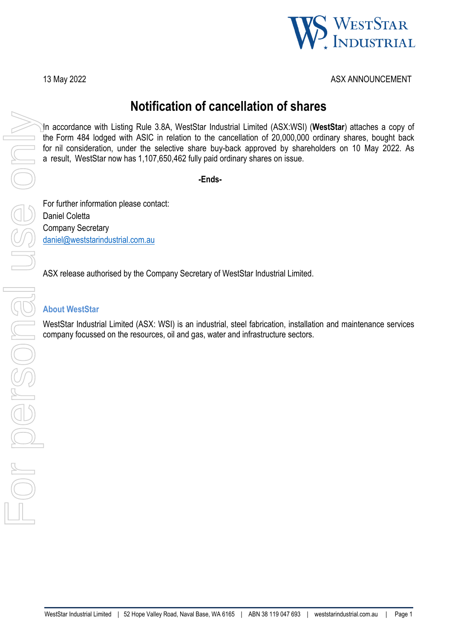

### 13 May 2022 ASX ANNOUNCEMENT

## **Notification of cancellation of shares**

In accordance with Listing Rule 3.8A, WestStar Industrial Limited (ASX:WSI) (**WestStar**) attaches a copy of the Form 484 lodged with ASIC in relation to the cancellation of 20,000,000 ordinary shares, bought back for nil consideration, under the selective share buy-back approved by shareholders on 10 May 2022. As a result, WestStar now has 1,107,650,462 fully paid ordinary shares on issue.

#### **-Ends-**

For further information please contact: Daniel Coletta Company Secretary [daniel@weststarindustrial.com.au](mailto:daniel@weststarindustrial.com.au)

ASX release authorised by the Company Secretary of WestStar Industrial Limited.

### **About WestStar**

WestStar Industrial Limited (ASX: WSI) is an industrial, steel fabrication, installation and maintenance services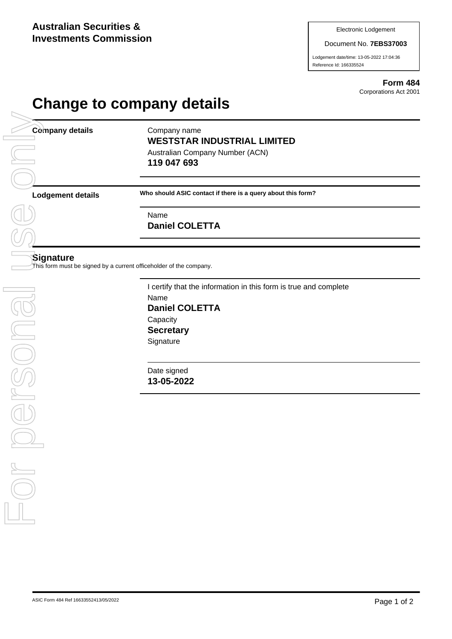Document No. **7EBS37003**

Lodgement date/time: 13-05-2022 17:04:36 Reference Id: 166335524

> **Form 484** Corporations Act 2001

# **Change to company details**

**Company details Company name** 

# **WESTSTAR INDUSTRIAL LIMITED**

Australian Company Number (ACN) **119 047 693**

**Lodgement details Who should ASIC contact if there is a query about this form?**

Name **Daniel COLETTA**

### **Signature**

This form must be signed by a current officeholder of the company.

I certify that the information in this form is true and complete Name **Daniel COLETTA Capacity Secretary Signature** 

Date signed **13-05-2022**